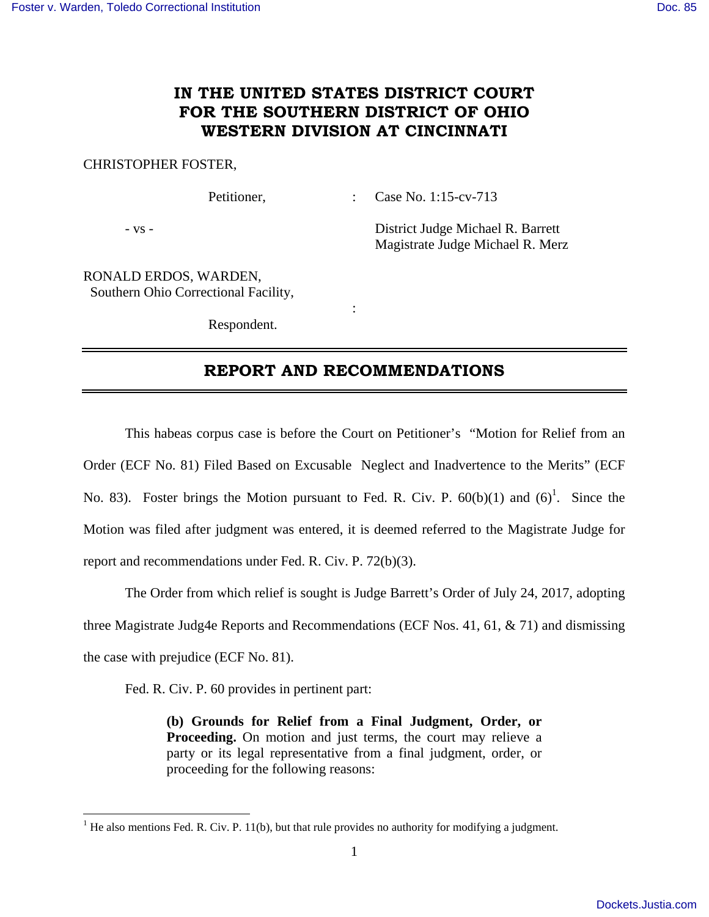## **IN THE UNITED STATES DISTRICT COURT FOR THE SOUTHERN DISTRICT OF OHIO WESTERN DIVISION AT CINCINNATI**

## CHRISTOPHER FOSTER,

Petitioner, : Case No. 1:15-cv-713

- vs - District Judge Michael R. Barrett Magistrate Judge Michael R. Merz

RONALD ERDOS, WARDEN, Southern Ohio Correctional Facility,

Respondent.

**Service State State State** 

## **REPORT AND RECOMMENDATIONS**

 This habeas corpus case is before the Court on Petitioner's "Motion for Relief from an Order (ECF No. 81) Filed Based on Excusable Neglect and Inadvertence to the Merits" (ECF No. 83). Foster brings the Motion pursuant to Fed. R. Civ. P.  $60(b)(1)$  and  $(6)^1$ . Since the Motion was filed after judgment was entered, it is deemed referred to the Magistrate Judge for report and recommendations under Fed. R. Civ. P. 72(b)(3).

 The Order from which relief is sought is Judge Barrett's Order of July 24, 2017, adopting three Magistrate Judg4e Reports and Recommendations (ECF Nos. 41, 61, & 71) and dismissing the case with prejudice (ECF No. 81).

Fed. R. Civ. P. 60 provides in pertinent part:

**(b) Grounds for Relief from a Final Judgment, Order, or Proceeding.** On motion and just terms, the court may relieve a party or its legal representative from a final judgment, order, or proceeding for the following reasons:

<sup>&</sup>lt;sup>1</sup> He also mentions Fed. R. Civ. P. 11(b), but that rule provides no authority for modifying a judgment.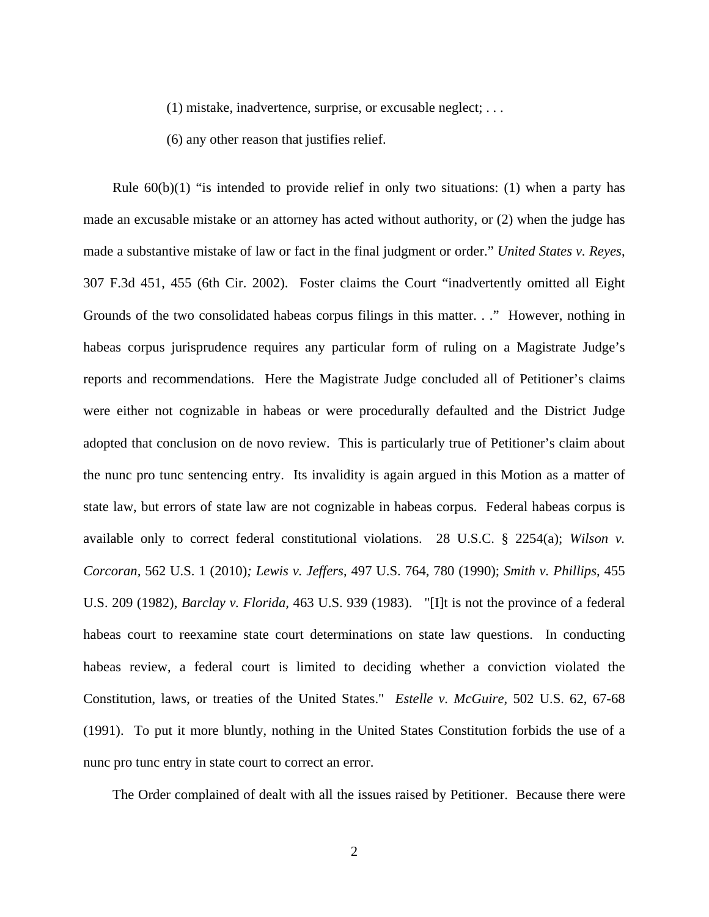(1) mistake, inadvertence, surprise, or excusable neglect; . . .

(6) any other reason that justifies relief.

Rule  $60(b)(1)$  "is intended to provide relief in only two situations: (1) when a party has made an excusable mistake or an attorney has acted without authority, or (2) when the judge has made a substantive mistake of law or fact in the final judgment or order." *United States v. Reyes*, 307 F.3d 451, 455 (6th Cir. 2002). Foster claims the Court "inadvertently omitted all Eight Grounds of the two consolidated habeas corpus filings in this matter. . ." However, nothing in habeas corpus jurisprudence requires any particular form of ruling on a Magistrate Judge's reports and recommendations. Here the Magistrate Judge concluded all of Petitioner's claims were either not cognizable in habeas or were procedurally defaulted and the District Judge adopted that conclusion on de novo review. This is particularly true of Petitioner's claim about the nunc pro tunc sentencing entry. Its invalidity is again argued in this Motion as a matter of state law, but errors of state law are not cognizable in habeas corpus. Federal habeas corpus is available only to correct federal constitutional violations. 28 U.S.C. § 2254(a); *Wilson v. Corcoran,* 562 U.S. 1 (2010)*; Lewis v. Jeffers*, 497 U.S. 764, 780 (1990); *Smith v. Phillips*, 455 U.S. 209 (1982), *Barclay v. Florida,* 463 U.S. 939 (1983). "[I]t is not the province of a federal habeas court to reexamine state court determinations on state law questions. In conducting habeas review, a federal court is limited to deciding whether a conviction violated the Constitution, laws, or treaties of the United States." *Estelle v. McGuire*, 502 U.S. 62, 67-68 (1991). To put it more bluntly, nothing in the United States Constitution forbids the use of a nunc pro tunc entry in state court to correct an error.

The Order complained of dealt with all the issues raised by Petitioner. Because there were